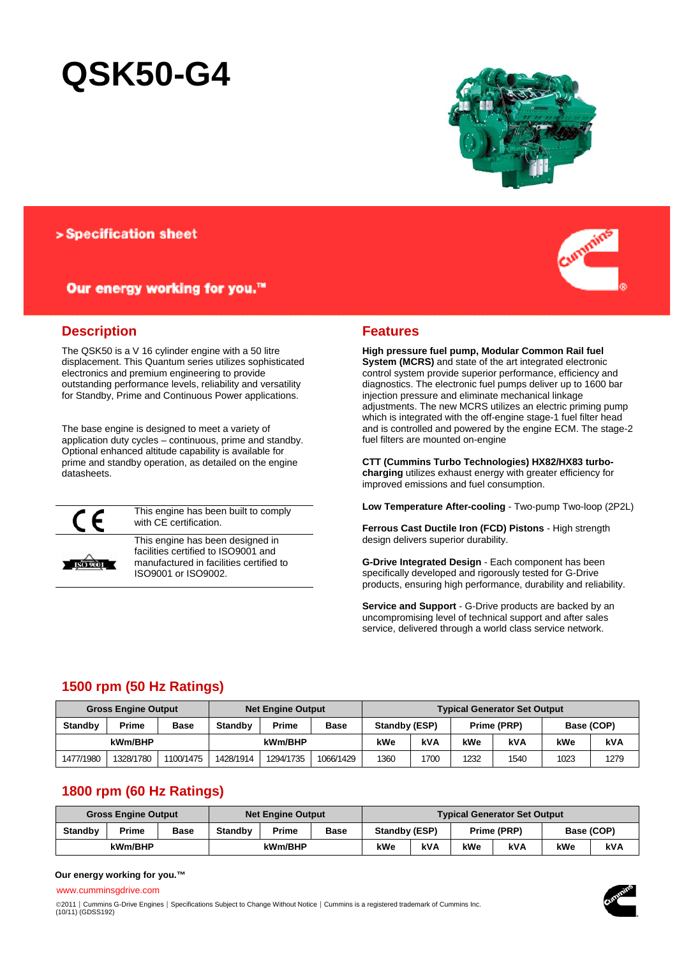# **QSK50-G4**



### > Specification sheet

## Our energy working for you.™



### **Description**

The QSK50 is a V 16 cylinder engine with a 50 litre displacement. This Quantum series utilizes sophisticated electronics and premium engineering to provide outstanding performance levels, reliability and versatility for Standby, Prime and Continuous Power applications.

The base engine is designed to meet a variety of application duty cycles – continuous, prime and standby. Optional enhanced altitude capability is available for prime and standby operation, as detailed on the engine datasheets.



This engine has been built to comply with CE certification.



This engine has been designed in facilities certified to ISO9001 and manufactured in facilities certified to ISO9001 or ISO9002.

### **Features**

**High pressure fuel pump, Modular Common Rail fuel System (MCRS)** and state of the art integrated electronic control system provide superior performance, efficiency and diagnostics. The electronic fuel pumps deliver up to 1600 bar injection pressure and eliminate mechanical linkage adjustments. The new MCRS utilizes an electric priming pump which is integrated with the off-engine stage-1 fuel filter head and is controlled and powered by the engine ECM. The stage-2 fuel filters are mounted on-engine

**CTT (Cummins Turbo Technologies) HX82/HX83 turbocharging** utilizes exhaust energy with greater efficiency for improved emissions and fuel consumption.

**Low Temperature After-cooling** - Two-pump Two-loop (2P2L)

**Ferrous Cast Ductile Iron (FCD) Pistons** - High strength design delivers superior durability.

**G-Drive Integrated Design** - Each component has been specifically developed and rigorously tested for G-Drive products, ensuring high performance, durability and reliability.

**Service and Support** - G-Drive products are backed by an uncompromising level of technical support and after sales service, delivered through a world class service network.

# **1500 rpm (50 Hz Ratings)**

|                | <b>Gross Engine Output</b> |             | <b>Net Engine Output</b> |           |             | <b>Typical Generator Set Output</b> |      |                           |      |      |      |
|----------------|----------------------------|-------------|--------------------------|-----------|-------------|-------------------------------------|------|---------------------------|------|------|------|
| <b>Standby</b> | Prime                      | <b>Base</b> | <b>Standby</b>           | Prime     | <b>Base</b> | Standby (ESP)                       |      | Base (COP)<br>Prime (PRP) |      |      |      |
| kWm/BHP        |                            |             |                          | kWm/BHP   |             | kWe                                 | kVA  | kWe                       | kVA  | kWe  | kVA  |
| 1477/1980      | 1328/1780                  | 1100/1475   | 1428/1914                | 1294/1735 | 1066/1429   | 1360                                | 1700 | 1232                      | 1540 | 1023 | 1279 |

# **1800 rpm (60 Hz Ratings)**

| <b>Gross Engine Output</b> |       |             | <b>Net Engine Output</b> |       |            | <b>Typical Generator Set Output</b> |            |             |     |            |  |
|----------------------------|-------|-------------|--------------------------|-------|------------|-------------------------------------|------------|-------------|-----|------------|--|
| <b>Standby</b>             | Prime | <b>Base</b> | <b>Standby</b>           | Prime | Base       | Standby (ESP)                       |            | Prime (PRP) |     | Base (COP) |  |
| kWm/BHP                    |       | kWm/BHP     |                          | kWe   | <b>kVA</b> | kWe                                 | <b>kVA</b> | kWe         | kVA |            |  |

### **Our energy working for you.™**

www.cumminsgdrive.com

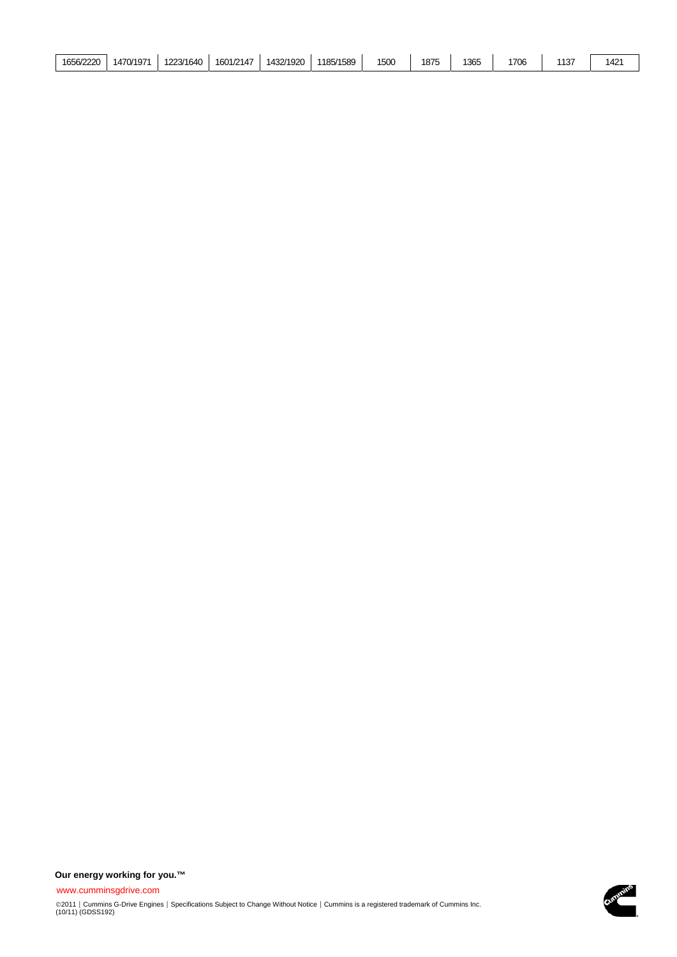| 1656/2220 | 1470/1971 | 1223/1640 | 1601/2147 | 1432/1920 | 1185/1589 | 1500 | 1875 | 1365 | 1706 | $110^-$<br>ا ف ا | $142^\circ$<br>ᅮ |
|-----------|-----------|-----------|-----------|-----------|-----------|------|------|------|------|------------------|------------------|
|-----------|-----------|-----------|-----------|-----------|-----------|------|------|------|------|------------------|------------------|